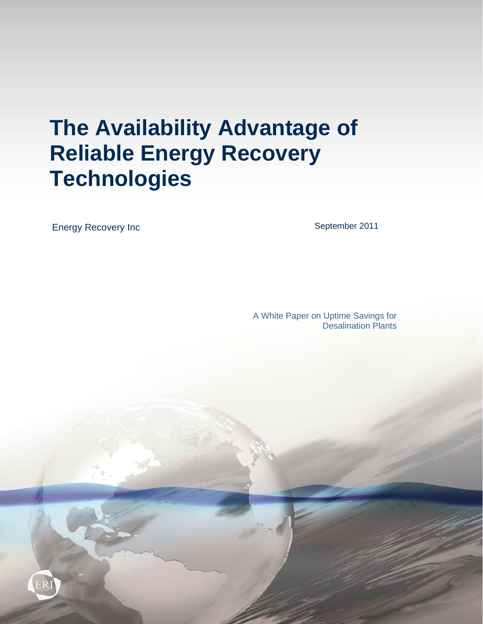# **The Availability Advantage of Reliable Energy Recovery Technologies**

Energy Recovery Inc

September 2011

A White Paper on Uptime Savings for Desalination Plants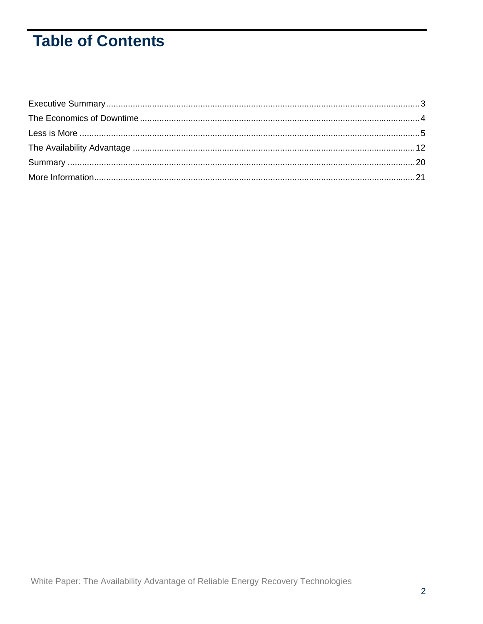# **Table of Contents**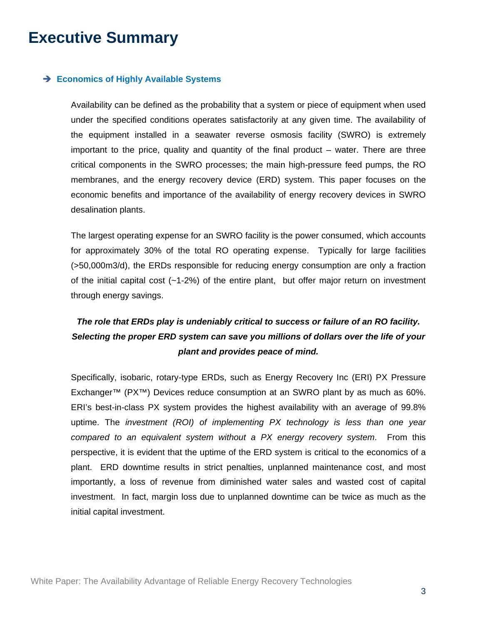## **Executive Summary**

#### **Economics of Highly Available Systems**

Availability can be defined as the probability that a system or piece of equipment when used under the specified conditions operates satisfactorily at any given time. The availability of the equipment installed in a seawater reverse osmosis facility (SWRO) is extremely important to the price, quality and quantity of the final product – water. There are three critical components in the SWRO processes; the main high-pressure feed pumps, the RO membranes, and the energy recovery device (ERD) system. This paper focuses on the economic benefits and importance of the availability of energy recovery devices in SWRO desalination plants.

The largest operating expense for an SWRO facility is the power consumed, which accounts for approximately 30% of the total RO operating expense. Typically for large facilities (>50,000m3/d), the ERDs responsible for reducing energy consumption are only a fraction of the initial capital cost  $(-1-2\%)$  of the entire plant, but offer major return on investment through energy savings.

### *The role that ERDs play is undeniably critical to success or failure of an RO facility. Selecting the proper ERD system can save you millions of dollars over the life of your plant and provides peace of mind.*

Specifically, isobaric, rotary-type ERDs, such as Energy Recovery Inc (ERI) PX Pressure Exchanger™ (PX™) Devices reduce consumption at an SWRO plant by as much as 60%. ERI's best-in-class PX system provides the highest availability with an average of 99.8% uptime. The *investment (ROI) of implementing PX technology is less than one year compared to an equivalent system without a PX energy recovery system*. From this perspective, it is evident that the uptime of the ERD system is critical to the economics of a plant. ERD downtime results in strict penalties, unplanned maintenance cost, and most importantly, a loss of revenue from diminished water sales and wasted cost of capital investment. In fact, margin loss due to unplanned downtime can be twice as much as the initial capital investment.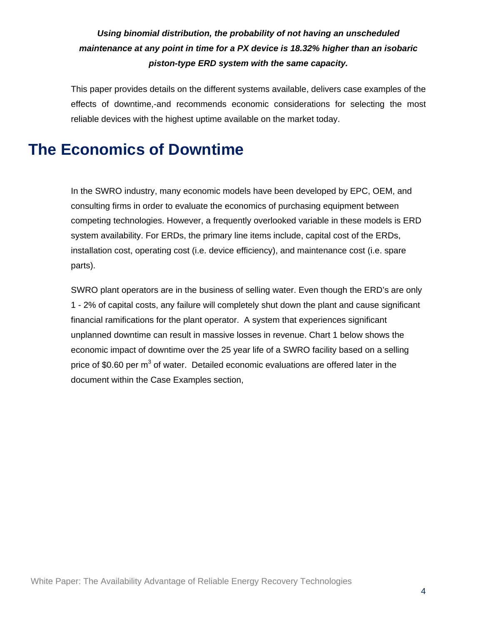### *Using binomial distribution, the probability of not having an unscheduled maintenance at any point in time for a PX device is 18.32% higher than an isobaric piston-type ERD system with the same capacity.*

This paper provides details on the different systems available, delivers case examples of the effects of downtime,-and recommends economic considerations for selecting the most reliable devices with the highest uptime available on the market today.

### **The Economics of Downtime**

In the SWRO industry, many economic models have been developed by EPC, OEM, and consulting firms in order to evaluate the economics of purchasing equipment between competing technologies. However, a frequently overlooked variable in these models is ERD system availability. For ERDs, the primary line items include, capital cost of the ERDs, installation cost, operating cost (i.e. device efficiency), and maintenance cost (i.e. spare parts).

SWRO plant operators are in the business of selling water. Even though the ERD's are only 1 - 2% of capital costs, any failure will completely shut down the plant and cause significant financial ramifications for the plant operator. A system that experiences significant unplanned downtime can result in massive losses in revenue. Chart 1 below shows the economic impact of downtime over the 25 year life of a SWRO facility based on a selling price of \$0.60 per m<sup>3</sup> of water. Detailed economic evaluations are offered later in the document within the Case Examples section,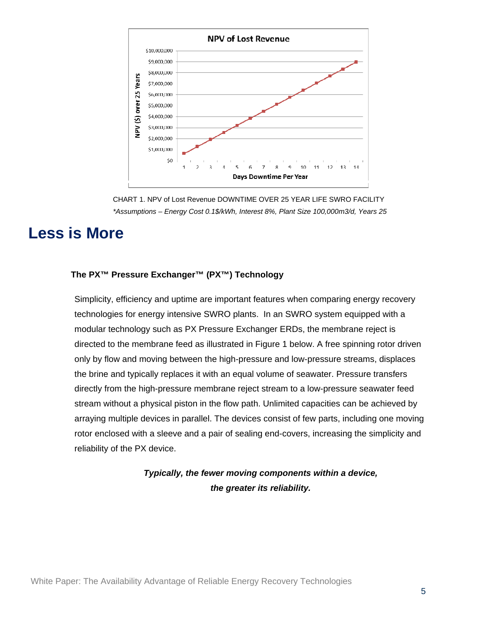

CHART 1. NPV of Lost Revenue DOWNTIME OVER 25 YEAR LIFE SWRO FACILITY *\*Assumptions – Energy Cost 0.1\$/kWh, Interest 8%, Plant Size 100,000m3/d, Years 25* 

### **Less is More**

#### **The PX™ Pressure Exchanger™ (PX™) Technology**

Simplicity, efficiency and uptime are important features when comparing energy recovery technologies for energy intensive SWRO plants. In an SWRO system equipped with a modular technology such as PX Pressure Exchanger ERDs, the membrane reject is directed to the membrane feed as illustrated in Figure 1 below. A free spinning rotor driven only by flow and moving between the high-pressure and low-pressure streams, displaces the brine and typically replaces it with an equal volume of seawater. Pressure transfers directly from the high-pressure membrane reject stream to a low-pressure seawater feed stream without a physical piston in the flow path. Unlimited capacities can be achieved by arraying multiple devices in parallel. The devices consist of few parts, including one moving rotor enclosed with a sleeve and a pair of sealing end-covers, increasing the simplicity and reliability of the PX device.

> *Typically, the fewer moving components within a device, the greater its reliability.*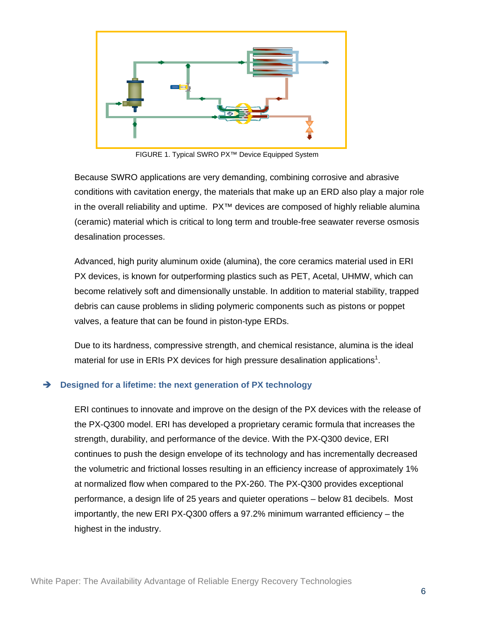

FIGURE 1. Typical SWRO PX™ Device Equipped System

Because SWRO applications are very demanding, combining corrosive and abrasive conditions with cavitation energy, the materials that make up an ERD also play a major role in the overall reliability and uptime. PX™ devices are composed of highly reliable alumina (ceramic) material which is critical to long term and trouble-free seawater reverse osmosis desalination processes.

Advanced, high purity aluminum oxide (alumina), the core ceramics material used in ERI PX devices, is known for outperforming plastics such as PET, Acetal, UHMW, which can become relatively soft and dimensionally unstable. In addition to material stability, trapped debris can cause problems in sliding polymeric components such as pistons or poppet valves, a feature that can be found in piston-type ERDs.

Due to its hardness, compressive strength, and chemical resistance, alumina is the ideal material for use in ERIs PX devices for high pressure desalination applications<sup>1</sup>.

#### **Designed for a lifetime: the next generation of PX technology**

ERI continues to innovate and improve on the design of the PX devices with the release of the PX-Q300 model. ERI has developed a proprietary ceramic formula that increases the strength, durability, and performance of the device. With the PX-Q300 device, ERI continues to push the design envelope of its technology and has incrementally decreased the volumetric and frictional losses resulting in an efficiency increase of approximately 1% at normalized flow when compared to the PX-260. The PX-Q300 provides exceptional performance, a design life of 25 years and quieter operations – below 81 decibels. Most importantly, the new ERI PX-Q300 offers a 97.2% minimum warranted efficiency – the highest in the industry.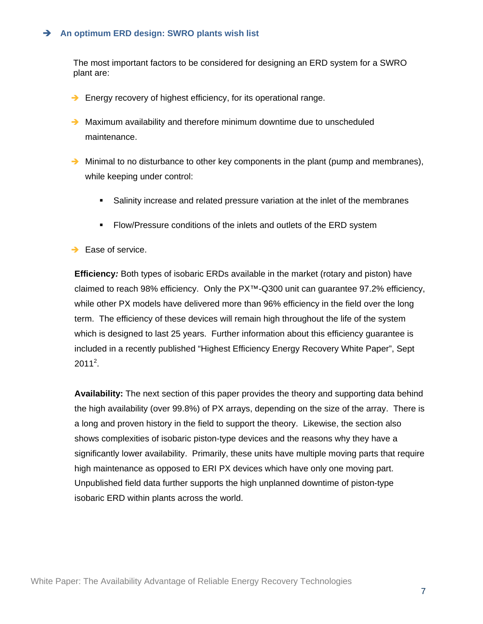#### **An optimum ERD design: SWRO plants wish list**

The most important factors to be considered for designing an ERD system for a SWRO plant are:

- $\rightarrow$  Energy recovery of highest efficiency, for its operational range.
- $\rightarrow$  Maximum availability and therefore minimum downtime due to unscheduled maintenance.
- $\rightarrow$  Minimal to no disturbance to other key components in the plant (pump and membranes), while keeping under control:
	- Salinity increase and related pressure variation at the inlet of the membranes
	- **Flow/Pressure conditions of the inlets and outlets of the ERD system**
- $\rightarrow$  Ease of service.

**Efficiency***:* Both types of isobaric ERDs available in the market (rotary and piston) have claimed to reach 98% efficiency. Only the PX™-Q300 unit can guarantee 97.2% efficiency, while other PX models have delivered more than 96% efficiency in the field over the long term. The efficiency of these devices will remain high throughout the life of the system which is designed to last 25 years. Further information about this efficiency guarantee is included in a recently published "Highest Efficiency Energy Recovery White Paper", Sept  $2011^2$ .

**Availability:** The next section of this paper provides the theory and supporting data behind the high availability (over 99.8%) of PX arrays, depending on the size of the array. There is a long and proven history in the field to support the theory. Likewise, the section also shows complexities of isobaric piston-type devices and the reasons why they have a significantly lower availability. Primarily, these units have multiple moving parts that require high maintenance as opposed to ERI PX devices which have only one moving part. Unpublished field data further supports the high unplanned downtime of piston-type isobaric ERD within plants across the world.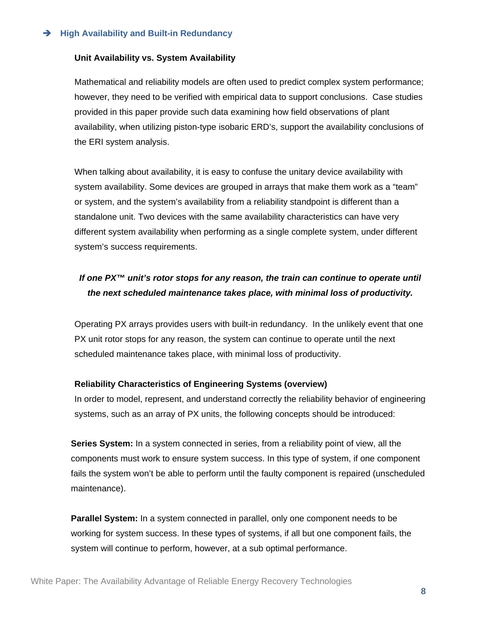#### **→** High Availability and Built-in Redundancy

#### **Unit Availability vs. System Availability**

Mathematical and reliability models are often used to predict complex system performance; however, they need to be verified with empirical data to support conclusions. Case studies provided in this paper provide such data examining how field observations of plant availability, when utilizing piston-type isobaric ERD's, support the availability conclusions of the ERI system analysis.

When talking about availability, it is easy to confuse the unitary device availability with system availability. Some devices are grouped in arrays that make them work as a "team" or system, and the system's availability from a reliability standpoint is different than a standalone unit. Two devices with the same availability characteristics can have very different system availability when performing as a single complete system, under different system's success requirements.

### *If one PX™ unit's rotor stops for any reason, the train can continue to operate until the next scheduled maintenance takes place, with minimal loss of productivity.*

Operating PX arrays provides users with built-in redundancy. In the unlikely event that one PX unit rotor stops for any reason, the system can continue to operate until the next scheduled maintenance takes place, with minimal loss of productivity.

#### **Reliability Characteristics of Engineering Systems (overview)**

In order to model, represent, and understand correctly the reliability behavior of engineering systems, such as an array of PX units, the following concepts should be introduced:

**Series System:** In a system connected in series, from a reliability point of view, all the components must work to ensure system success. In this type of system, if one component fails the system won't be able to perform until the faulty component is repaired (unscheduled maintenance).

**Parallel System:** In a system connected in parallel, only one component needs to be working for system success. In these types of systems, if all but one component fails, the system will continue to perform, however, at a sub optimal performance.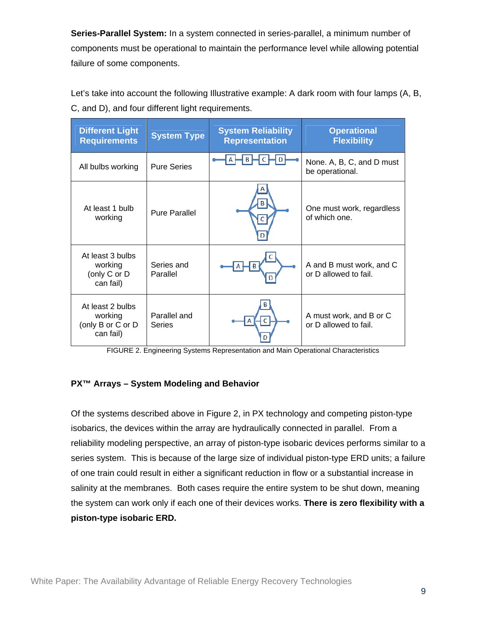**Series-Parallel System:** In a system connected in series-parallel, a minimum number of components must be operational to maintain the performance level while allowing potential failure of some components.

Let's take into account the following Illustrative example: A dark room with four lamps (A, B, C, and D), and four different light requirements.

| <b>Different Light</b><br><b>Requirements</b>                 | <b>System Type</b>     | <b>System Reliability</b><br><b>Representation</b> | <b>Operational</b><br><b>Flexibility</b>          |
|---------------------------------------------------------------|------------------------|----------------------------------------------------|---------------------------------------------------|
| All bulbs working                                             | <b>Pure Series</b>     | B                                                  | None. A, B, C, and D must<br>be operational.      |
| At least 1 bulb<br>working                                    | <b>Pure Parallel</b>   |                                                    | One must work, regardless<br>of which one.        |
| At least 3 bulbs<br>working<br>(only C or D<br>can fail)      | Series and<br>Parallel |                                                    | A and B must work, and C<br>or D allowed to fail. |
| At least 2 bulbs<br>working<br>(only B or C or D<br>can fail) | Parallel and<br>Series |                                                    | A must work, and B or C<br>or D allowed to fail.  |

FIGURE 2. Engineering Systems Representation and Main Operational Characteristics

#### **PX™ Arrays – System Modeling and Behavior**

Of the systems described above in Figure 2, in PX technology and competing piston-type isobarics, the devices within the array are hydraulically connected in parallel. From a reliability modeling perspective, an array of piston-type isobaric devices performs similar to a series system. This is because of the large size of individual piston-type ERD units; a failure of one train could result in either a significant reduction in flow or a substantial increase in salinity at the membranes. Both cases require the entire system to be shut down, meaning the system can work only if each one of their devices works. **There is zero flexibility with a piston-type isobaric ERD.**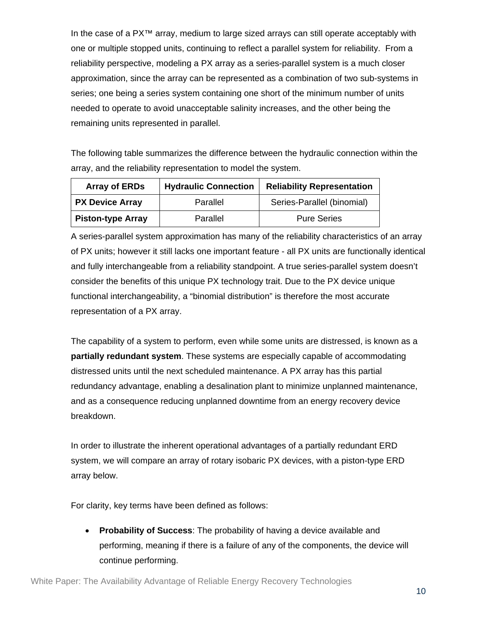In the case of a PX™ array, medium to large sized arrays can still operate acceptably with one or multiple stopped units, continuing to reflect a parallel system for reliability. From a reliability perspective, modeling a PX array as a series-parallel system is a much closer approximation, since the array can be represented as a combination of two sub-systems in series; one being a series system containing one short of the minimum number of units needed to operate to avoid unacceptable salinity increases, and the other being the remaining units represented in parallel.

The following table summarizes the difference between the hydraulic connection within the array, and the reliability representation to model the system.

| <b>Array of ERDs</b>     | <b>Hydraulic Connection</b> | <b>Reliability Representation</b> |
|--------------------------|-----------------------------|-----------------------------------|
| <b>PX Device Array</b>   | Parallel                    | Series-Parallel (binomial)        |
| <b>Piston-type Array</b> | Parallel                    | <b>Pure Series</b>                |

A series-parallel system approximation has many of the reliability characteristics of an array of PX units; however it still lacks one important feature - all PX units are functionally identical and fully interchangeable from a reliability standpoint. A true series-parallel system doesn't consider the benefits of this unique PX technology trait. Due to the PX device unique functional interchangeability, a "binomial distribution" is therefore the most accurate representation of a PX array.

The capability of a system to perform, even while some units are distressed, is known as a **partially redundant system**. These systems are especially capable of accommodating distressed units until the next scheduled maintenance. A PX array has this partial redundancy advantage, enabling a desalination plant to minimize unplanned maintenance, and as a consequence reducing unplanned downtime from an energy recovery device breakdown.

In order to illustrate the inherent operational advantages of a partially redundant ERD system, we will compare an array of rotary isobaric PX devices, with a piston-type ERD array below.

For clarity, key terms have been defined as follows:

 **Probability of Success**: The probability of having a device available and performing, meaning if there is a failure of any of the components, the device will continue performing.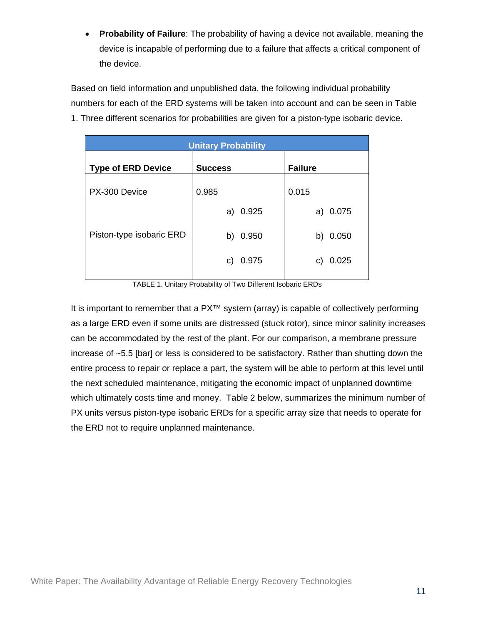**Probability of Failure**: The probability of having a device not available, meaning the device is incapable of performing due to a failure that affects a critical component of the device.

Based on field information and unpublished data, the following individual probability numbers for each of the ERD systems will be taken into account and can be seen in Table 1. Three different scenarios for probabilities are given for a piston-type isobaric device.

| <b>Unitary Probability</b> |                |                |  |
|----------------------------|----------------|----------------|--|
| <b>Type of ERD Device</b>  | <b>Success</b> | <b>Failure</b> |  |
| PX-300 Device              | 0.985          | 0.015          |  |
|                            | a) 0.925       | a) 0.075       |  |
| Piston-type isobaric ERD   | 0.950<br>b)    | 0.050<br>b)    |  |
|                            | c) 0.975       | 0.025<br>C)    |  |
|                            |                |                |  |

TABLE 1. Unitary Probability of Two Different Isobaric ERDs

It is important to remember that a PX<sup>™</sup> system (array) is capable of collectively performing as a large ERD even if some units are distressed (stuck rotor), since minor salinity increases can be accommodated by the rest of the plant. For our comparison, a membrane pressure increase of ~5.5 [bar] or less is considered to be satisfactory. Rather than shutting down the entire process to repair or replace a part, the system will be able to perform at this level until the next scheduled maintenance, mitigating the economic impact of unplanned downtime which ultimately costs time and money. Table 2 below, summarizes the minimum number of PX units versus piston-type isobaric ERDs for a specific array size that needs to operate for the ERD not to require unplanned maintenance.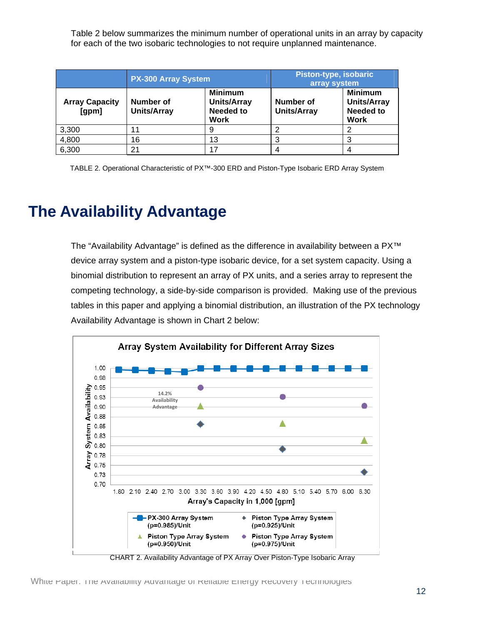Table 2 below summarizes the minimum number of operational units in an array by capacity for each of the two isobaric technologies to not require unplanned maintenance.

|                                | <b>PX-300 Array System</b>             |                                                                         | Piston-type, isobaric<br>array system |                                                                         |
|--------------------------------|----------------------------------------|-------------------------------------------------------------------------|---------------------------------------|-------------------------------------------------------------------------|
| <b>Array Capacity</b><br>[gpm] | <b>Number of</b><br><b>Units/Array</b> | <b>Minimum</b><br><b>Units/Array</b><br><b>Needed to</b><br><b>Work</b> | Number of<br><b>Units/Array</b>       | <b>Minimum</b><br><b>Units/Array</b><br><b>Needed to</b><br><b>Work</b> |
| 3,300                          | 11                                     | 9                                                                       |                                       |                                                                         |
| 4,800                          | 16                                     | 13                                                                      | 3                                     |                                                                         |
| 6,300                          | 21                                     | 17                                                                      |                                       |                                                                         |

TABLE 2. Operational Characteristic of PX™-300 ERD and Piston-Type Isobaric ERD Array System

# **The Availability Advantage**

The "Availability Advantage" is defined as the difference in availability between a PX™ device array system and a piston-type isobaric device, for a set system capacity. Using a binomial distribution to represent an array of PX units, and a series array to represent the competing technology, a side-by-side comparison is provided. Making use of the previous tables in this paper and applying a binomial distribution, an illustration of the PX technology Availability Advantage is shown in Chart 2 below:



CHART 2. Availability Advantage of PX Array Over Piston-Type Isobaric Array

White Paper: The Availability Advantage of Reliable Energy Recovery Technologies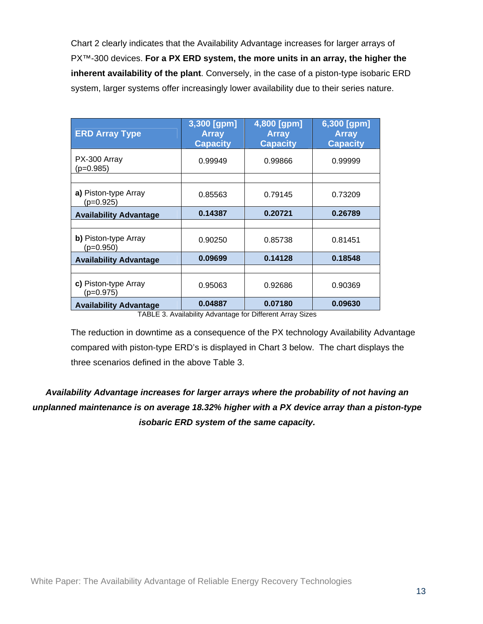Chart 2 clearly indicates that the Availability Advantage increases for larger arrays of PX™-300 devices. **For a PX ERD system, the more units in an array, the higher the inherent availability of the plant**. Conversely, in the case of a piston-type isobaric ERD system, larger systems offer increasingly lower availability due to their series nature.

| <b>ERD Array Type</b>               | 3,300 [gpm]<br><b>Array</b><br><b>Capacity</b>               | 4,800 [gpm]<br><b>Array</b><br><b>Capacity</b>   | 6,300 [gpm]<br><b>Array</b><br><b>Capacity</b> |
|-------------------------------------|--------------------------------------------------------------|--------------------------------------------------|------------------------------------------------|
| PX-300 Array<br>$(p=0.985)$         | 0.99949                                                      | 0.99866                                          | 0.99999                                        |
|                                     |                                                              |                                                  |                                                |
| a) Piston-type Array<br>$(p=0.925)$ | 0.85563                                                      | 0.79145                                          | 0.73209                                        |
| <b>Availability Advantage</b>       | 0.14387                                                      | 0.20721                                          | 0.26789                                        |
|                                     |                                                              |                                                  |                                                |
| b) Piston-type Array<br>$(p=0.950)$ | 0.90250                                                      | 0.85738                                          | 0.81451                                        |
| <b>Availability Advantage</b>       | 0.09699                                                      | 0.14128                                          | 0.18548                                        |
|                                     |                                                              |                                                  |                                                |
| c) Piston-type Array<br>$(p=0.975)$ | 0.95063                                                      | 0.92686                                          | 0.90369                                        |
| <b>Availability Advantage</b>       | 0.04887<br>$\tau$ and $\tau$ or all the little and dependent | 0.07180<br>$f = \sum_{i=1}^{n} f_i f_i$<br>. n . | 0.09630                                        |

TABLE 3. Availability Advantage for Different Array Sizes

The reduction in downtime as a consequence of the PX technology Availability Advantage compared with piston-type ERD's is displayed in Chart 3 below. The chart displays the three scenarios defined in the above Table 3.

*Availability Advantage increases for larger arrays where the probability of not having an unplanned maintenance is on average 18.32% higher with a PX device array than a piston-type isobaric ERD system of the same capacity.*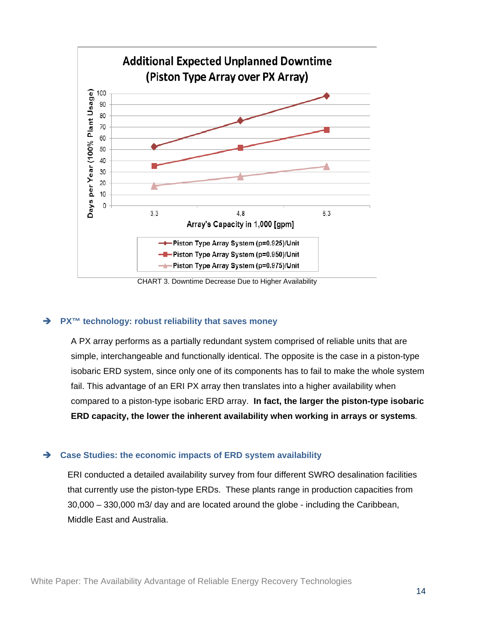

CHART 3. Downtime Decrease Due to Higher Availability

#### **→** PX<sup>™</sup> technology: robust reliability that saves money

A PX array performs as a partially redundant system comprised of reliable units that are simple, interchangeable and functionally identical. The opposite is the case in a piston-type isobaric ERD system, since only one of its components has to fail to make the whole system fail. This advantage of an ERI PX array then translates into a higher availability when compared to a piston-type isobaric ERD array. **In fact, the larger the piston-type isobaric ERD capacity, the lower the inherent availability when working in arrays or systems***.*

#### **Case Studies: the economic impacts of ERD system availability**

ERI conducted a detailed availability survey from four different SWRO desalination facilities that currently use the piston-type ERDs. These plants range in production capacities from 30,000 – 330,000 m3/ day and are located around the globe - including the Caribbean, Middle East and Australia.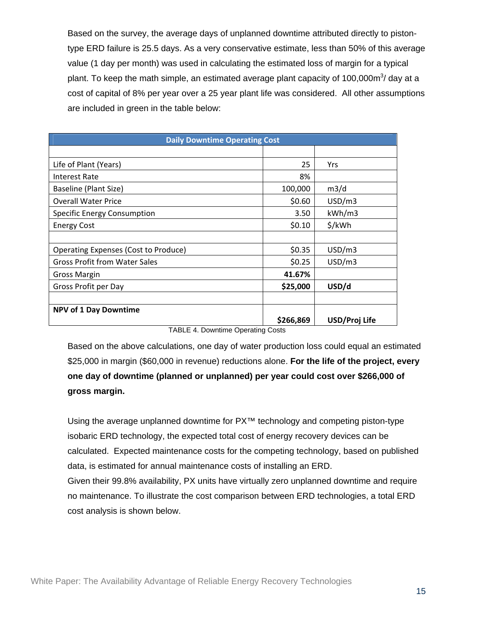Based on the survey, the average days of unplanned downtime attributed directly to pistontype ERD failure is 25.5 days. As a very conservative estimate, less than 50% of this average value (1 day per month) was used in calculating the estimated loss of margin for a typical plant. To keep the math simple, an estimated average plant capacity of 100,000m $3/$  day at a cost of capital of 8% per year over a 25 year plant life was considered. All other assumptions are included in green in the table below:

| <b>Daily Downtime Operating Cost</b>                                                |                     |               |  |
|-------------------------------------------------------------------------------------|---------------------|---------------|--|
|                                                                                     |                     |               |  |
| Life of Plant (Years)                                                               | 25                  | Yrs           |  |
| <b>Interest Rate</b>                                                                | 8%                  |               |  |
| Baseline (Plant Size)                                                               | 100,000             | m3/d          |  |
| <b>Overall Water Price</b>                                                          | \$0.60              | USD/m3        |  |
| <b>Specific Energy Consumption</b>                                                  | 3.50                | kWh/m3        |  |
| <b>Energy Cost</b>                                                                  | \$0.10              | \$/kWh        |  |
|                                                                                     |                     |               |  |
| <b>Operating Expenses (Cost to Produce)</b>                                         | \$0.35              | USD/m3        |  |
| <b>Gross Profit from Water Sales</b>                                                | \$0.25              | USD/m3        |  |
| <b>Gross Margin</b>                                                                 | 41.67%              |               |  |
| Gross Profit per Day                                                                | \$25,000            | USD/d         |  |
|                                                                                     |                     |               |  |
| <b>NPV of 1 Day Downtime</b>                                                        |                     |               |  |
| ---- <i>--</i> --<br><b>Contract Contract Contract Contract</b><br>$\sim$<br>$\sim$ | \$266,869<br>$\sim$ | USD/Proj Life |  |

TABLE 4. Downtime Operating Costs

Based on the above calculations, one day of water production loss could equal an estimated \$25,000 in margin (\$60,000 in revenue) reductions alone. **For the life of the project, every one day of downtime (planned or unplanned) per year could cost over \$266,000 of gross margin.** 

Using the average unplanned downtime for PX<sup>™</sup> technology and competing piston-type isobaric ERD technology, the expected total cost of energy recovery devices can be calculated. Expected maintenance costs for the competing technology, based on published data, is estimated for annual maintenance costs of installing an ERD. Given their 99.8% availability, PX units have virtually zero unplanned downtime and require no maintenance. To illustrate the cost comparison between ERD technologies, a total ERD cost analysis is shown below.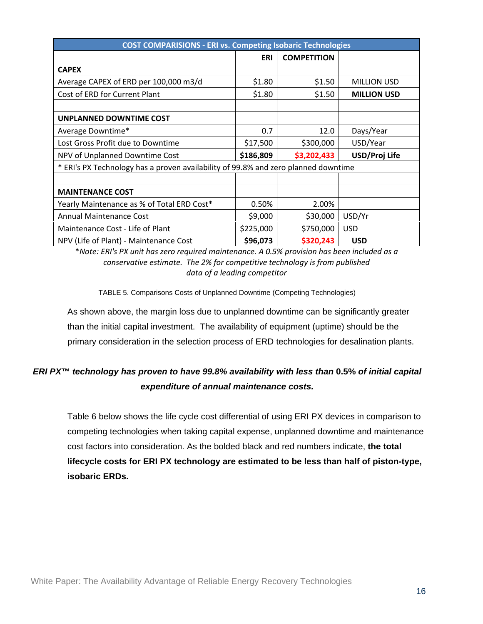| <b>COST COMPARISIONS - ERI vs. Competing Isobaric Technologies</b>                 |            |                    |                    |  |
|------------------------------------------------------------------------------------|------------|--------------------|--------------------|--|
|                                                                                    | <b>ERI</b> | <b>COMPETITION</b> |                    |  |
| <b>CAPEX</b>                                                                       |            |                    |                    |  |
| Average CAPEX of ERD per 100,000 m3/d                                              | \$1.80     | \$1.50             | <b>MILLION USD</b> |  |
| Cost of ERD for Current Plant                                                      | \$1.80     | \$1.50             | <b>MILLION USD</b> |  |
|                                                                                    |            |                    |                    |  |
| UNPLANNED DOWNTIME COST                                                            |            |                    |                    |  |
| Average Downtime*                                                                  | 0.7        | 12.0               | Days/Year          |  |
| Lost Gross Profit due to Downtime                                                  | \$17,500   | \$300,000          | USD/Year           |  |
| NPV of Unplanned Downtime Cost                                                     | \$186,809  | \$3,202,433        | USD/Proj Life      |  |
| * ERI's PX Technology has a proven availability of 99.8% and zero planned downtime |            |                    |                    |  |
|                                                                                    |            |                    |                    |  |
| <b>MAINTENANCE COST</b>                                                            |            |                    |                    |  |
| Yearly Maintenance as % of Total ERD Cost*                                         | 0.50%      | 2.00%              |                    |  |
| Annual Maintenance Cost                                                            | \$9,000    | \$30,000           | USD/Yr             |  |
| Maintenance Cost - Life of Plant                                                   | \$225,000  | \$750,000          | <b>USD</b>         |  |
| NPV (Life of Plant) - Maintenance Cost                                             | \$96,073   | \$320,243          | <b>USD</b>         |  |

\**Note: ERI's PX unit has zero required maintenance. A 0.5% provision has been included as a conservative estimate. The 2% for competitive technology is from published data of a leading competitor*

TABLE 5. Comparisons Costs of Unplanned Downtime (Competing Technologies)

As shown above, the margin loss due to unplanned downtime can be significantly greater than the initial capital investment. The availability of equipment (uptime) should be the primary consideration in the selection process of ERD technologies for desalination plants.

### *ERI PX™ technology has proven to have 99.8% availability with less than* **0.5%** *of initial capital expenditure of annual maintenance costs.*

Table 6 below shows the life cycle cost differential of using ERI PX devices in comparison to competing technologies when taking capital expense, unplanned downtime and maintenance cost factors into consideration. As the bolded black and red numbers indicate, **the total lifecycle costs for ERI PX technology are estimated to be less than half of piston-type, isobaric ERDs.**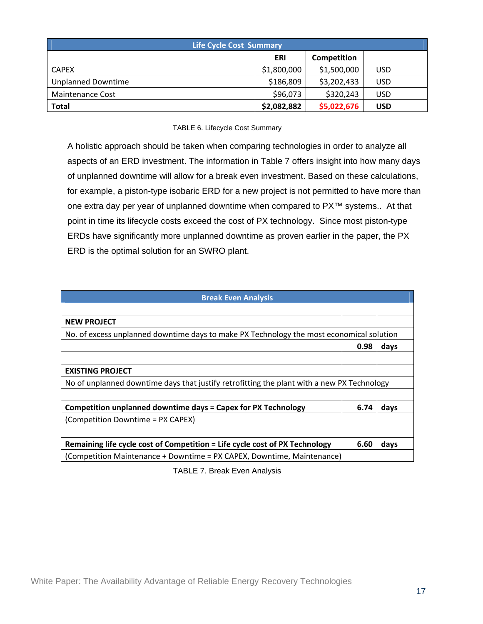| <b>Life Cycle Cost Summary</b> |             |                    |            |
|--------------------------------|-------------|--------------------|------------|
|                                | ERI         | <b>Competition</b> |            |
| <b>CAPEX</b>                   | \$1,800,000 | \$1,500,000        | <b>USD</b> |
| <b>Unplanned Downtime</b>      | \$186,809   | \$3,202,433        | <b>USD</b> |
| <b>Maintenance Cost</b>        | \$96,073    | \$320,243          | <b>USD</b> |
| <b>Total</b>                   | \$2,082,882 | \$5,022,676        | <b>USD</b> |

#### TABLE 6. Lifecycle Cost Summary

A holistic approach should be taken when comparing technologies in order to analyze all aspects of an ERD investment. The information in Table 7 offers insight into how many days of unplanned downtime will allow for a break even investment. Based on these calculations, for example, a piston-type isobaric ERD for a new project is not permitted to have more than one extra day per year of unplanned downtime when compared to PX™ systems.. At that point in time its lifecycle costs exceed the cost of PX technology. Since most piston-type ERDs have significantly more unplanned downtime as proven earlier in the paper, the PX ERD is the optimal solution for an SWRO plant.

| <b>Break Even Analysis</b>                                                                 |      |      |
|--------------------------------------------------------------------------------------------|------|------|
|                                                                                            |      |      |
| <b>NEW PROJECT</b>                                                                         |      |      |
| No. of excess unplanned downtime days to make PX Technology the most economical solution   |      |      |
|                                                                                            | 0.98 | days |
|                                                                                            |      |      |
| <b>EXISTING PROJECT</b>                                                                    |      |      |
| No of unplanned downtime days that justify retrofitting the plant with a new PX Technology |      |      |
|                                                                                            |      |      |
| Competition unplanned downtime days = Capex for PX Technology                              | 6.74 | days |
| (Competition Downtime = PX CAPEX)                                                          |      |      |
|                                                                                            |      |      |
| Remaining life cycle cost of Competition = Life cycle cost of PX Technology                | 6.60 | days |
| (Competition Maintenance + Downtime = PX CAPEX, Downtime, Maintenance)                     |      |      |

TABLE 7. Break Even Analysis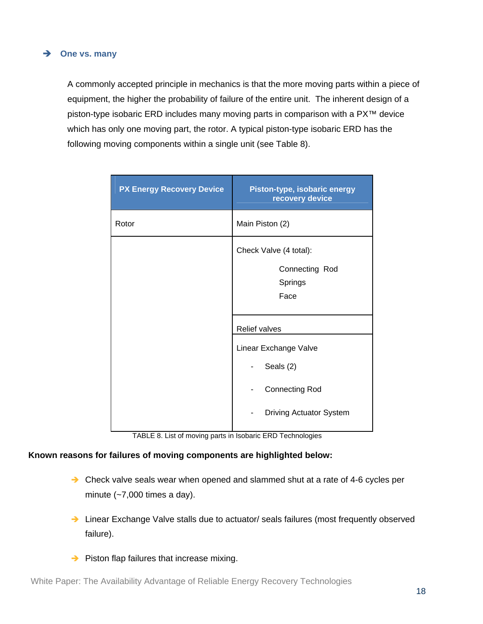#### **→** One vs. many

A commonly accepted principle in mechanics is that the more moving parts within a piece of equipment, the higher the probability of failure of the entire unit. The inherent design of a piston-type isobaric ERD includes many moving parts in comparison with a PX™ device which has only one moving part, the rotor. A typical piston-type isobaric ERD has the following moving components within a single unit (see Table 8).

| <b>PX Energy Recovery Device</b> | Piston-type, isobaric energy<br>recovery device |
|----------------------------------|-------------------------------------------------|
| Rotor                            | Main Piston (2)                                 |
|                                  | Check Valve (4 total):                          |
|                                  | Connecting Rod                                  |
|                                  | Springs                                         |
|                                  | Face                                            |
|                                  |                                                 |
|                                  | <b>Relief valves</b>                            |
|                                  | Linear Exchange Valve                           |
|                                  | Seals (2)                                       |
|                                  | <b>Connecting Rod</b>                           |
|                                  | <b>Driving Actuator System</b>                  |

TABLE 8. List of moving parts in Isobaric ERD Technologies

#### **Known reasons for failures of moving components are highlighted below:**

- → Check valve seals wear when opened and slammed shut at a rate of 4-6 cycles per minute (~7,000 times a day).
- → Linear Exchange Valve stalls due to actuator/ seals failures (most frequently observed failure).
- $\rightarrow$  Piston flap failures that increase mixing.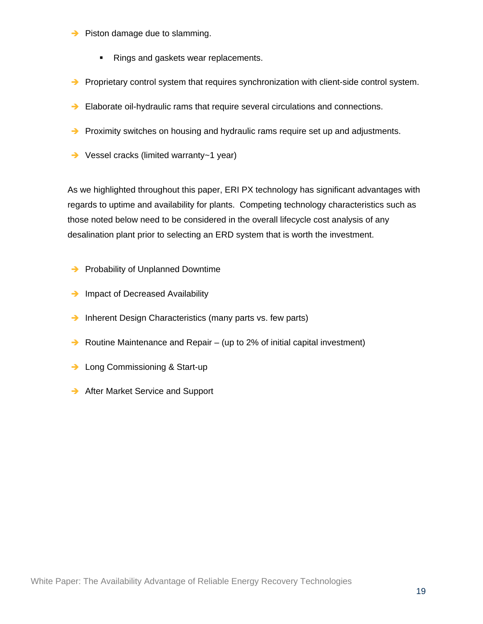- $\rightarrow$  Piston damage due to slamming.
	- Rings and gaskets wear replacements.
- $\rightarrow$  Proprietary control system that requires synchronization with client-side control system.
- Elaborate oil-hydraulic rams that require several circulations and connections.
- $\rightarrow$  Proximity switches on housing and hydraulic rams require set up and adjustments.
- **→** Vessel cracks (limited warranty~1 year)

As we highlighted throughout this paper, ERI PX technology has significant advantages with regards to uptime and availability for plants. Competing technology characteristics such as those noted below need to be considered in the overall lifecycle cost analysis of any desalination plant prior to selecting an ERD system that is worth the investment.

- $\rightarrow$  Probability of Unplanned Downtime
- $\rightarrow$  Impact of Decreased Availability
- $\rightarrow$  Inherent Design Characteristics (many parts vs. few parts)
- $\rightarrow$  Routine Maintenance and Repair (up to 2% of initial capital investment)
- **→** Long Commissioning & Start-up
- **→** After Market Service and Support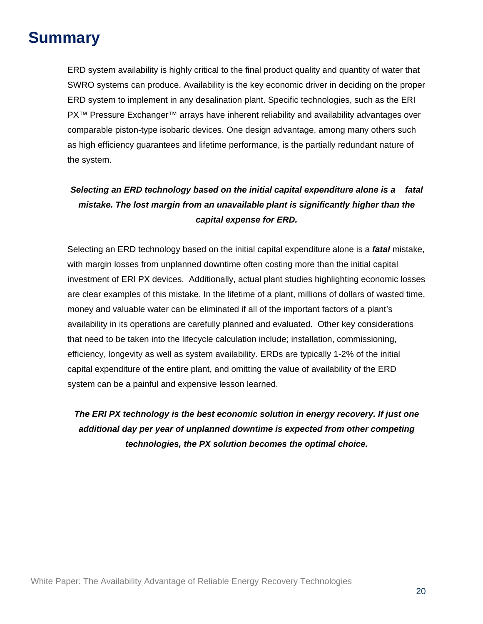# **Summary**

ERD system availability is highly critical to the final product quality and quantity of water that SWRO systems can produce. Availability is the key economic driver in deciding on the proper ERD system to implement in any desalination plant. Specific technologies, such as the ERI PX™ Pressure Exchanger™ arrays have inherent reliability and availability advantages over comparable piston-type isobaric devices. One design advantage, among many others such as high efficiency guarantees and lifetime performance, is the partially redundant nature of the system.

### *Selecting an ERD technology based on the initial capital expenditure alone is a fatal mistake. The lost margin from an unavailable plant is significantly higher than the capital expense for ERD.*

Selecting an ERD technology based on the initial capital expenditure alone is a *fatal* mistake, with margin losses from unplanned downtime often costing more than the initial capital investment of ERI PX devices. Additionally, actual plant studies highlighting economic losses are clear examples of this mistake. In the lifetime of a plant, millions of dollars of wasted time, money and valuable water can be eliminated if all of the important factors of a plant's availability in its operations are carefully planned and evaluated. Other key considerations that need to be taken into the lifecycle calculation include; installation, commissioning, efficiency, longevity as well as system availability. ERDs are typically 1-2% of the initial capital expenditure of the entire plant, and omitting the value of availability of the ERD system can be a painful and expensive lesson learned.

*The ERI PX technology is the best economic solution in energy recovery. If just one additional day per year of unplanned downtime is expected from other competing technologies, the PX solution becomes the optimal choice.*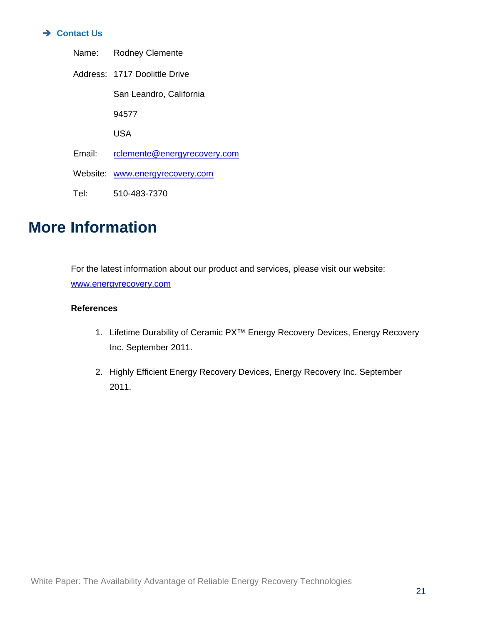#### **→ Contact Us**

|        | Name: Rodney Clemente           |
|--------|---------------------------------|
|        | Address: 1717 Doolittle Drive   |
|        | San Leandro, California         |
|        | 94577                           |
|        | USA                             |
| Email: | rclemente@energyrecovery.com    |
|        | Website: www.energyrecovery.com |
| Tel:   | 510-483-7370                    |

## **More Information**

For the latest information about our product and services, please visit our website: www.energyrecovery.com

#### **References**

- 1. Lifetime Durability of Ceramic PX™ Energy Recovery Devices, Energy Recovery Inc. September 2011.
- 2. Highly Efficient Energy Recovery Devices, Energy Recovery Inc. September 2011.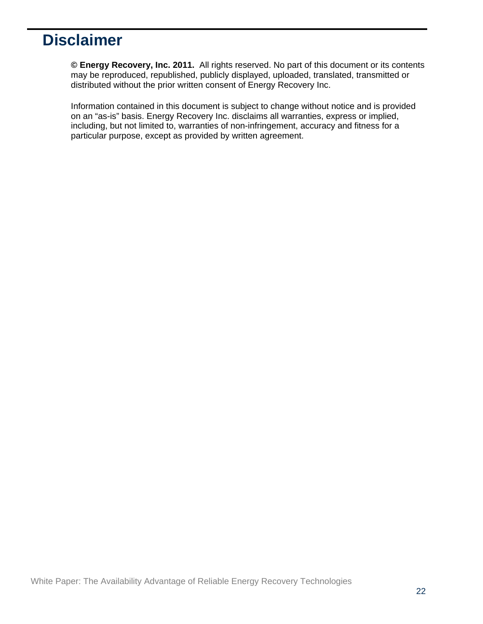# **Disclaimer**

**© Energy Recovery, Inc. 2011.** All rights reserved. No part of this document or its contents may be reproduced, republished, publicly displayed, uploaded, translated, transmitted or distributed without the prior written consent of Energy Recovery Inc.

Information contained in this document is subject to change without notice and is provided on an "as-is" basis. Energy Recovery Inc. disclaims all warranties, express or implied, including, but not limited to, warranties of non-infringement, accuracy and fitness for a particular purpose, except as provided by written agreement.